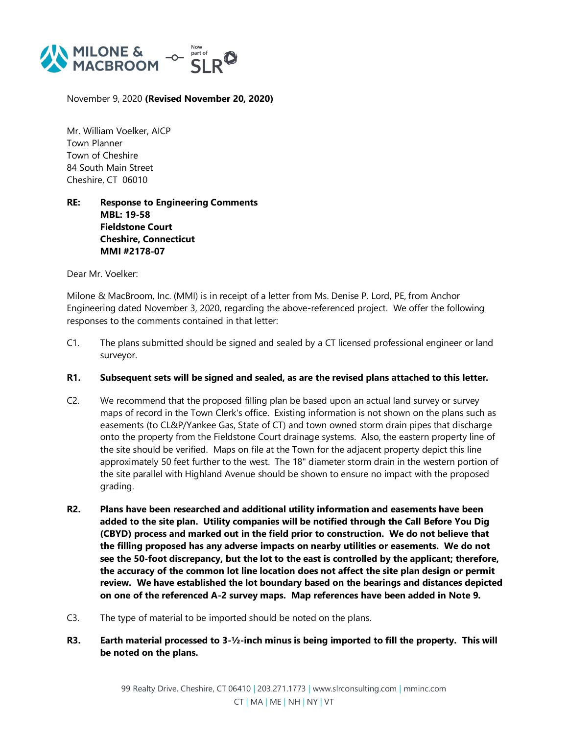

November 9, 2020 **(Revised November 20, 2020)**

Mr. William Voelker, AICP Town Planner Town of Cheshire 84 South Main Street Cheshire, CT 06010

## **RE: Response to Engineering Comments MBL: 19-58 Fieldstone Court Cheshire, Connecticut MMI #2178-07**

Dear Mr. Voelker:

Milone & MacBroom, Inc. (MMI) is in receipt of a letter from Ms. Denise P. Lord, PE, from Anchor Engineering dated November 3, 2020, regarding the above-referenced project. We offer the following responses to the comments contained in that letter:

- C1. The plans submitted should be signed and sealed by a CT licensed professional engineer or land surveyor.
- **R1. Subsequent sets will be signed and sealed, as are the revised plans attached to this letter.**
- C2. We recommend that the proposed filling plan be based upon an actual land survey or survey maps of record in the Town Clerk's office. Existing information is not shown on the plans such as easements (to CL&P/Yankee Gas, State of CT) and town owned storm drain pipes that discharge onto the property from the Fieldstone Court drainage systems. Also, the eastern property line of the site should be verified. Maps on file at the Town for the adjacent property depict this line approximately 50 feet further to the west. The 18" diameter storm drain in the western portion of the site parallel with Highland Avenue should be shown to ensure no impact with the proposed grading.
- **R2. Plans have been researched and additional utility information and easements have been added to the site plan. Utility companies will be notified through the Call Before You Dig (CBYD) process and marked out in the field prior to construction. We do not believe that the filling proposed has any adverse impacts on nearby utilities or easements. We do not see the 50-foot discrepancy, but the lot to the east is controlled by the applicant; therefore, the accuracy of the common lot line location does not affect the site plan design or permit review. We have established the lot boundary based on the bearings and distances depicted on one of the referenced A-2 survey maps. Map references have been added in Note 9.**
- C3. The type of material to be imported should be noted on the plans.
- **R3. Earth material processed to 3-½-inch minus is being imported to fill the property. This will be noted on the plans.**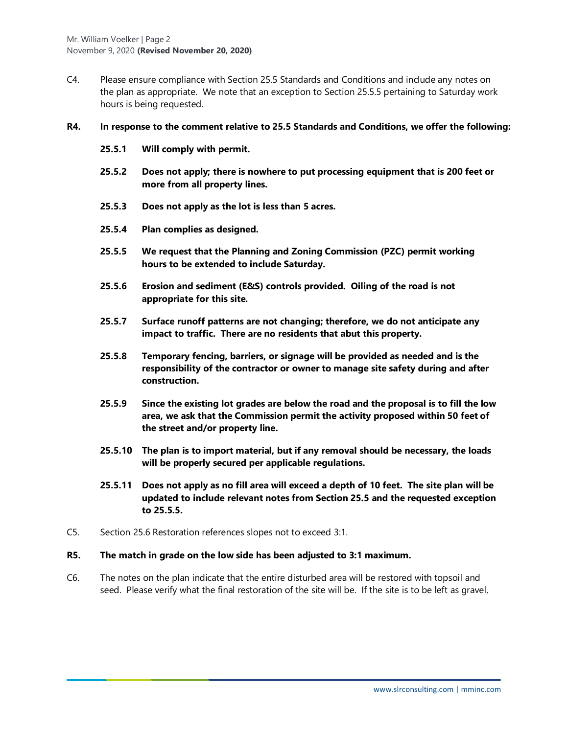C4. Please ensure compliance with Section 25.5 Standards and Conditions and include any notes on the plan as appropriate. We note that an exception to Section 25.5.5 pertaining to Saturday work hours is being requested.

#### **R4. In response to the comment relative to 25.5 Standards and Conditions, we offer the following:**

- **25.5.1 Will comply with permit.**
- **25.5.2 Does not apply; there is nowhere to put processing equipment that is 200 feet or more from all property lines.**
- **25.5.3 Does not apply as the lot is less than 5 acres.**
- **25.5.4 Plan complies as designed.**
- **25.5.5 We request that the Planning and Zoning Commission (PZC) permit working hours to be extended to include Saturday.**
- **25.5.6 Erosion and sediment (E&S) controls provided. Oiling of the road is not appropriate for this site.**
- **25.5.7 Surface runoff patterns are not changing; therefore, we do not anticipate any impact to traffic. There are no residents that abut this property.**
- **25.5.8 Temporary fencing, barriers, or signage will be provided as needed and is the responsibility of the contractor or owner to manage site safety during and after construction.**
- **25.5.9 Since the existing lot grades are below the road and the proposal is to fill the low area, we ask that the Commission permit the activity proposed within 50 feet of the street and/or property line.**
- **25.5.10 The plan is to import material, but if any removal should be necessary, the loads will be properly secured per applicable regulations.**
- **25.5.11 Does not apply as no fill area will exceed a depth of 10 feet. The site plan will be updated to include relevant notes from Section 25.5 and the requested exception to 25.5.5.**
- C5. Section 25.6 Restoration references slopes not to exceed 3:1.
- **R5. The match in grade on the low side has been adjusted to 3:1 maximum.**
- C6. The notes on the plan indicate that the entire disturbed area will be restored with topsoil and seed. Please verify what the final restoration of the site will be. If the site is to be left as gravel,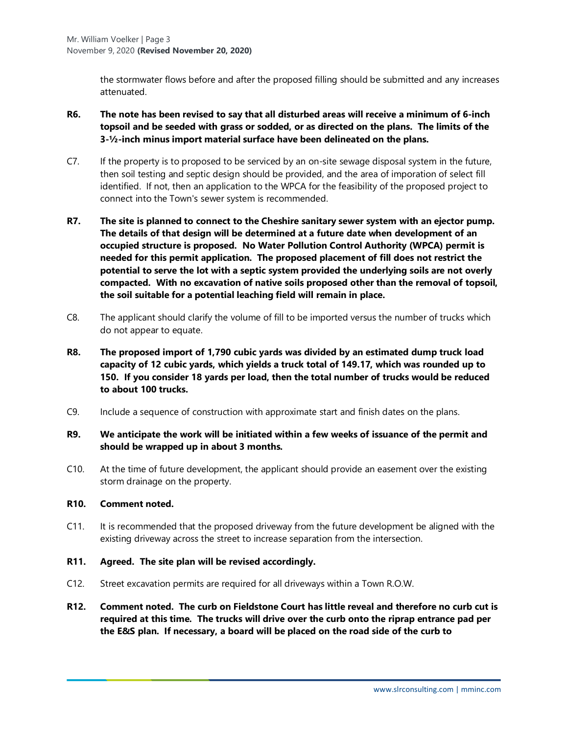the stormwater flows before and after the proposed filling should be submitted and any increases attenuated.

- **R6. The note has been revised to say that all disturbed areas will receive a minimum of 6-inch topsoil and be seeded with grass or sodded, or as directed on the plans. The limits of the 3-½-inch minus import material surface have been delineated on the plans.**
- C7. If the property is to proposed to be serviced by an on-site sewage disposal system in the future, then soil testing and septic design should be provided, and the area of imporation of select fill identified. If not, then an application to the WPCA for the feasibility of the proposed project to connect into the Town's sewer system is recommended.
- **R7. The site is planned to connect to the Cheshire sanitary sewer system with an ejector pump. The details of that design will be determined at a future date when development of an occupied structure is proposed. No Water Pollution Control Authority (WPCA) permit is needed for this permit application. The proposed placement of fill does not restrict the potential to serve the lot with a septic system provided the underlying soils are not overly compacted. With no excavation of native soils proposed other than the removal of topsoil, the soil suitable for a potential leaching field will remain in place.**
- C8. The applicant should clarify the volume of fill to be imported versus the number of trucks which do not appear to equate.
- **R8. The proposed import of 1,790 cubic yards was divided by an estimated dump truck load capacity of 12 cubic yards, which yields a truck total of 149.17, which was rounded up to 150. If you consider 18 yards per load, then the total number of trucks would be reduced to about 100 trucks.**
- C9. Include a sequence of construction with approximate start and finish dates on the plans.

### **R9. We anticipate the work will be initiated within a few weeks of issuance of the permit and should be wrapped up in about 3 months.**

C10. At the time of future development, the applicant should provide an easement over the existing storm drainage on the property.

### **R10. Comment noted.**

- C11. It is recommended that the proposed driveway from the future development be aligned with the existing driveway across the street to increase separation from the intersection.
- **R11. Agreed. The site plan will be revised accordingly.**
- C12. Street excavation permits are required for all driveways within a Town R.O.W.
- **R12. Comment noted. The curb on Fieldstone Court has little reveal and therefore no curb cut is required at this time. The trucks will drive over the curb onto the riprap entrance pad per the E&S plan. If necessary, a board will be placed on the road side of the curb to**